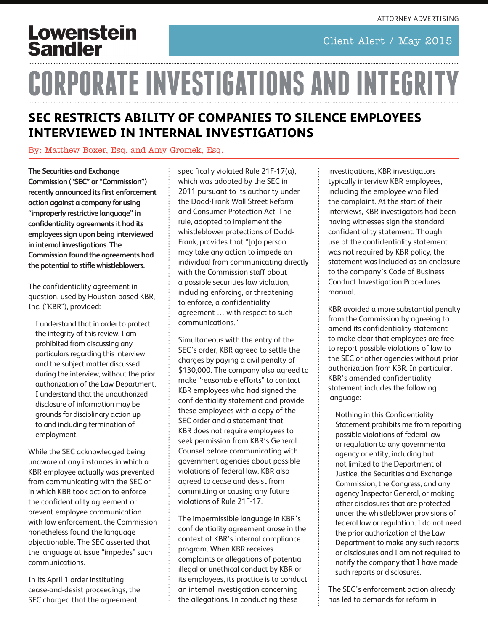Client Alert / May 2015

## **Lowenstein Sandler**

# **CORPORATE INVESTIGATIONS AND INTEGRIT**

#### **SEC RESTRICTS ABILITY OF COMPANIES TO SILENCE EMPLOYEES INTERVIEWED IN INTERNAL INVESTIGATIONS**

#### By: [Matthew Boxer, Esq.](https://www.lowenstein.com/mboxer/) and [Amy Gromek, Esq.](https://www.lowenstein.com/agromek/)

**The Securities and Exchange Commission ("SEC" or "Commission") recently announced its first enforcement action against a company for using "improperly restrictive language" in confidentiality agreements it had its employees sign upon being interviewed in internal investigations. The Commission found the agreements had the potential to stifle whistleblowers.**

The confidentiality agreement in question, used by Houston-based KBR, Inc. ("KBR"), provided:

I understand that in order to protect the integrity of this review, I am prohibited from discussing any particulars regarding this interview and the subject matter discussed during the interview, without the prior authorization of the Law Department. I understand that the unauthorized disclosure of information may be grounds for disciplinary action up to and including termination of employment.

While the SEC acknowledged being unaware of any instances in which a KBR employee actually was prevented from communicating with the SEC or in which KBR took action to enforce the confidentiality agreement or prevent employee communication with law enforcement, the Commission nonetheless found the language objectionable. The SEC asserted that the language at issue "impedes" such communications.

In its April 1 order instituting cease-and-desist proceedings, the SEC charged that the agreement

specifically violated Rule 21F-17(a), which was adopted by the SEC in 2011 pursuant to its authority under the Dodd-Frank Wall Street Reform and Consumer Protection Act. The rule, adopted to implement the whistleblower protections of Dodd-Frank, provides that "[n]o person may take any action to impede an individual from communicating directly with the Commission staff about a possible securities law violation, including enforcing, or threatening to enforce, a confidentiality agreement … with respect to such communications."

Simultaneous with the entry of the SEC's order, KBR agreed to settle the charges by paying a civil penalty of \$130,000. The company also agreed to make "reasonable efforts" to contact KBR employees who had signed the confidentiality statement and provide these employees with a copy of the SEC order and a statement that KBR does not require employees to seek permission from KBR's General Counsel before communicating with government agencies about possible violations of federal law. KBR also agreed to cease and desist from committing or causing any future violations of Rule 21F-17.

The impermissible language in KBR's confidentiality agreement arose in the context of KBR's internal compliance program. When KBR receives complaints or allegations of potential illegal or unethical conduct by KBR or its employees, its practice is to conduct an internal investigation concerning the allegations. In conducting these

investigations, KBR investigators typically interview KBR employees, including the employee who filed the complaint. At the start of their interviews, KBR investigators had been having witnesses sign the standard confidentiality statement. Though use of the confidentiality statement was not required by KBR policy, the statement was included as an enclosure to the company's Code of Business Conduct Investigation Procedures manual.

KBR avoided a more substantial penalty from the Commission by agreeing to amend its confidentiality statement to make clear that employees are free to report possible violations of law to the SEC or other agencies without prior authorization from KBR. In particular, KBR's amended confidentiality statement includes the following language:

Nothing in this Confidentiality Statement prohibits me from reporting possible violations of federal law or regulation to any governmental agency or entity, including but not limited to the Department of Justice, the Securities and Exchange Commission, the Congress, and any agency Inspector General, or making other disclosures that are protected under the whistleblower provisions of federal law or regulation. I do not need the prior authorization of the Law Department to make any such reports or disclosures and I am not required to notify the company that I have made such reports or disclosures.

The SEC's enforcement action already has led to demands for reform in